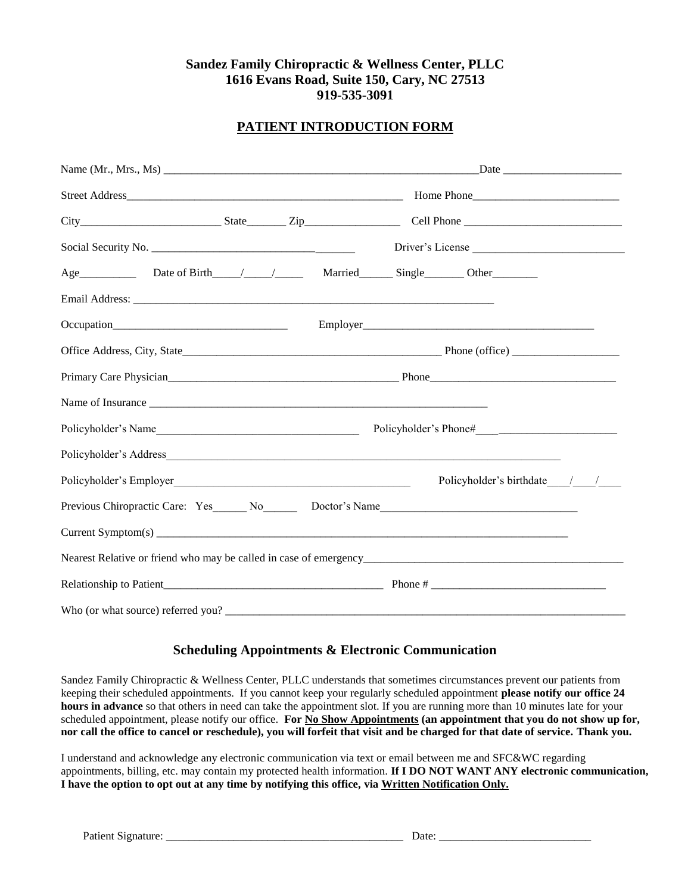# **Sandez Family Chiropractic & Wellness Center, PLLC 1616 Evans Road, Suite 150, Cary, NC 27513 919-535-3091**

# **PATIENT INTRODUCTION FORM**

| Age Date of Birth / / Married Single Other Determines                                                                                                                                                                                  |  |  |                              |  |  |
|----------------------------------------------------------------------------------------------------------------------------------------------------------------------------------------------------------------------------------------|--|--|------------------------------|--|--|
|                                                                                                                                                                                                                                        |  |  |                              |  |  |
|                                                                                                                                                                                                                                        |  |  |                              |  |  |
|                                                                                                                                                                                                                                        |  |  |                              |  |  |
|                                                                                                                                                                                                                                        |  |  |                              |  |  |
| Name of Insurance                                                                                                                                                                                                                      |  |  |                              |  |  |
|                                                                                                                                                                                                                                        |  |  |                              |  |  |
|                                                                                                                                                                                                                                        |  |  |                              |  |  |
| Policyholder's Employer<br><u>Designed and the contract of the contract of the contract of the contract of the contract of the contract of the contract of the contract of the contract of the contract of the contract of the con</u> |  |  | Policyholder's birthdate / / |  |  |
|                                                                                                                                                                                                                                        |  |  |                              |  |  |
| Current Symptom(s)                                                                                                                                                                                                                     |  |  |                              |  |  |
|                                                                                                                                                                                                                                        |  |  |                              |  |  |
|                                                                                                                                                                                                                                        |  |  |                              |  |  |
|                                                                                                                                                                                                                                        |  |  |                              |  |  |

# **Scheduling Appointments & Electronic Communication**

Sandez Family Chiropractic & Wellness Center, PLLC understands that sometimes circumstances prevent our patients from keeping their scheduled appointments. If you cannot keep your regularly scheduled appointment **please notify our office 24 hours in advance** so that others in need can take the appointment slot. If you are running more than 10 minutes late for your scheduled appointment, please notify our office. **For No Show Appointments (an appointment that you do not show up for, nor call the office to cancel or reschedule), you will forfeit that visit and be charged for that date of service. Thank you.**

I understand and acknowledge any electronic communication via text or email between me and SFC&WC regarding appointments, billing, etc. may contain my protected health information. **If I DO NOT WANT ANY electronic communication, I have the option to opt out at any time by notifying this office, via Written Notification Only.**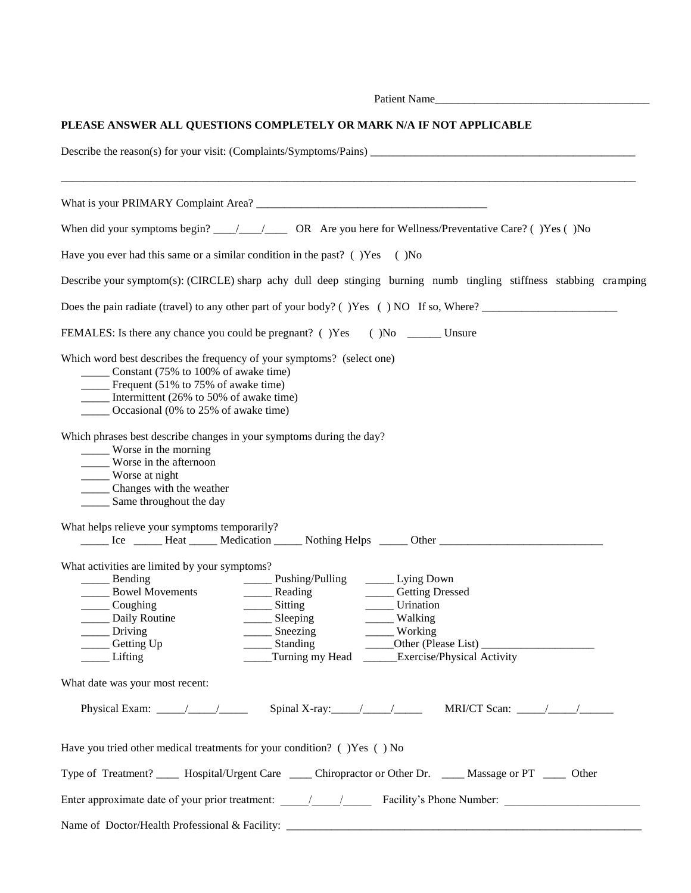|                                                                                                                                                                                                                                                                                                                                                                                                                                                                                                                               | Patient Name                                                                                                                                                                                 |
|-------------------------------------------------------------------------------------------------------------------------------------------------------------------------------------------------------------------------------------------------------------------------------------------------------------------------------------------------------------------------------------------------------------------------------------------------------------------------------------------------------------------------------|----------------------------------------------------------------------------------------------------------------------------------------------------------------------------------------------|
|                                                                                                                                                                                                                                                                                                                                                                                                                                                                                                                               | PLEASE ANSWER ALL QUESTIONS COMPLETELY OR MARK N/A IF NOT APPLICABLE                                                                                                                         |
|                                                                                                                                                                                                                                                                                                                                                                                                                                                                                                                               |                                                                                                                                                                                              |
|                                                                                                                                                                                                                                                                                                                                                                                                                                                                                                                               |                                                                                                                                                                                              |
|                                                                                                                                                                                                                                                                                                                                                                                                                                                                                                                               |                                                                                                                                                                                              |
| Have you ever had this same or a similar condition in the past? $($ $)$ Yes $($ $)$ No                                                                                                                                                                                                                                                                                                                                                                                                                                        |                                                                                                                                                                                              |
|                                                                                                                                                                                                                                                                                                                                                                                                                                                                                                                               | Describe your symptom(s): (CIRCLE) sharp achy dull deep stinging burning numb tingling stiffness stabbing cramping                                                                           |
|                                                                                                                                                                                                                                                                                                                                                                                                                                                                                                                               | Does the pain radiate (travel) to any other part of your body? $($ ) Yes $($ ) NO If so, Where?                                                                                              |
|                                                                                                                                                                                                                                                                                                                                                                                                                                                                                                                               | FEMALES: Is there any chance you could be pregnant? () Yes () No ________ Unsure                                                                                                             |
| Which word best describes the frequency of your symptoms? (select one)<br>_______ Constant (75% to 100% of awake time)<br><b>Example 12.13</b> Frequent (51% to 75% of awake time)<br>Intermittent $(26\% \text{ to } 50\% \text{ of a} \text{wake time})$<br>_______ Occasional (0% to 25% of awake time)                                                                                                                                                                                                                    |                                                                                                                                                                                              |
| Which phrases best describe changes in your symptoms during the day?<br>_____ Worse in the morning<br>_____ Worse in the afternoon<br>Worse at night<br>______ Changes with the weather<br>_______ Same throughout the day                                                                                                                                                                                                                                                                                                    |                                                                                                                                                                                              |
| What helps relieve your symptoms temporarily?                                                                                                                                                                                                                                                                                                                                                                                                                                                                                 |                                                                                                                                                                                              |
| What activities are limited by your symptoms?<br>Coughing<br>_ Daily Routine<br>$\frac{1}{\sqrt{1-\frac{1}{2}}\sqrt{1-\frac{1}{2}}\sqrt{1-\frac{1}{2}}\sqrt{1-\frac{1}{2}}\sqrt{1-\frac{1}{2}}\sqrt{1-\frac{1}{2}}\sqrt{1-\frac{1}{2}}\sqrt{1-\frac{1}{2}}\sqrt{1-\frac{1}{2}}\sqrt{1-\frac{1}{2}}\sqrt{1-\frac{1}{2}}\sqrt{1-\frac{1}{2}}\sqrt{1-\frac{1}{2}}\sqrt{1-\frac{1}{2}}\sqrt{1-\frac{1}{2}}\sqrt{1-\frac{1}{2}}\sqrt{1-\frac{1}{2}}\sqrt{1-\frac{1}{2}}\sqrt{1-\frac{1}{2}}\sqrt{1-\frac$<br>Getting Up<br>Lifting | $\frac{1}{\sqrt{2}}$ Sitting<br>Urination<br>$\frac{\ }{\ }$ Sleeping<br>_____ Walking<br>$\frac{1}{\sqrt{2}}$ Sneezing<br>Working<br>Standing<br>Turning my Head Exercise/Physical Activity |
| What date was your most recent:                                                                                                                                                                                                                                                                                                                                                                                                                                                                                               |                                                                                                                                                                                              |
| Physical Exam: $\frac{\sqrt{2}}{2}$                                                                                                                                                                                                                                                                                                                                                                                                                                                                                           | Spinal X-ray: $\frac{\sqrt{2}}{2}$<br>MRI/CT Scan: $\frac{\sqrt{2}}{2}$                                                                                                                      |
| Have you tried other medical treatments for your condition? () Yes () No                                                                                                                                                                                                                                                                                                                                                                                                                                                      |                                                                                                                                                                                              |
|                                                                                                                                                                                                                                                                                                                                                                                                                                                                                                                               | Type of Treatment? ______ Hospital/Urgent Care _____ Chiropractor or Other Dr. _____ Massage or PT _____ Other                                                                               |
|                                                                                                                                                                                                                                                                                                                                                                                                                                                                                                                               |                                                                                                                                                                                              |
|                                                                                                                                                                                                                                                                                                                                                                                                                                                                                                                               |                                                                                                                                                                                              |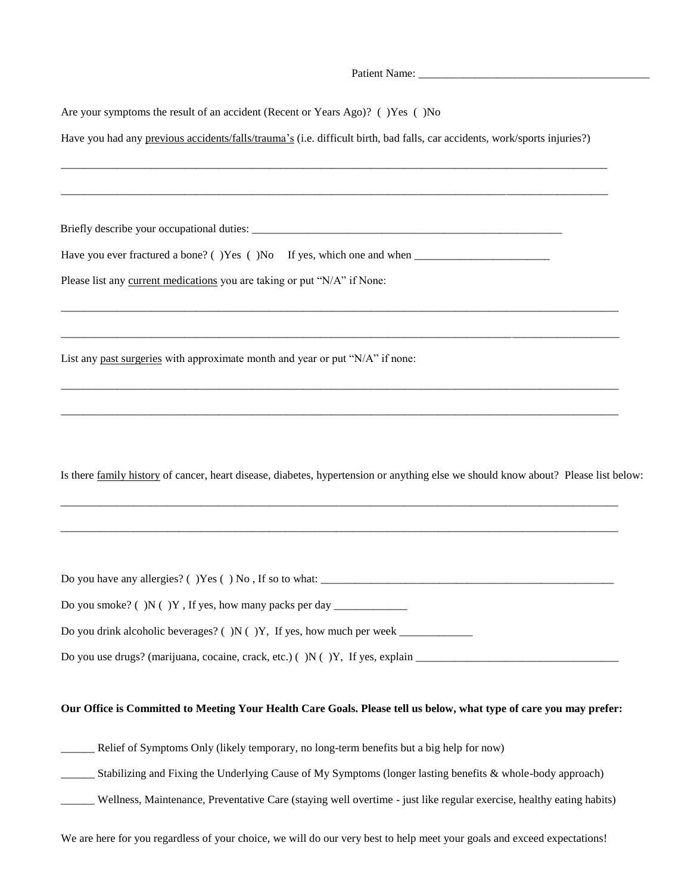| Are your symptoms the result of an accident (Recent or Years Ago)? ()Yes ()No                                                      |
|------------------------------------------------------------------------------------------------------------------------------------|
| Have you had any previous accidents/falls/trauma's (i.e. difficult birth, bad falls, car accidents, work/sports injuries?)         |
|                                                                                                                                    |
|                                                                                                                                    |
| Please list any current medications you are taking or put "N/A" if None:                                                           |
| List any past surgeries with approximate month and year or put "N/A" if none:                                                      |
| Is there family history of cancer, heart disease, diabetes, hypertension or anything else we should know about? Please list below: |
|                                                                                                                                    |
|                                                                                                                                    |
|                                                                                                                                    |
|                                                                                                                                    |
| Our Office is Committed to Meeting Your Health Care Goals. Please tell us below, what type of care you may prefer:                 |
| Relief of Symptoms Only (likely temporary, no long-term benefits but a big help for now)                                           |

- \_\_\_\_\_\_ Stabilizing and Fixing the Underlying Cause of My Symptoms (longer lasting benefits & whole-body approach)
- \_\_\_\_\_\_ Wellness, Maintenance, Preventative Care (staying well overtime just like regular exercise, healthy eating habits)
- We are here for you regardless of your choice, we will do our very best to help meet your goals and exceed expectations!